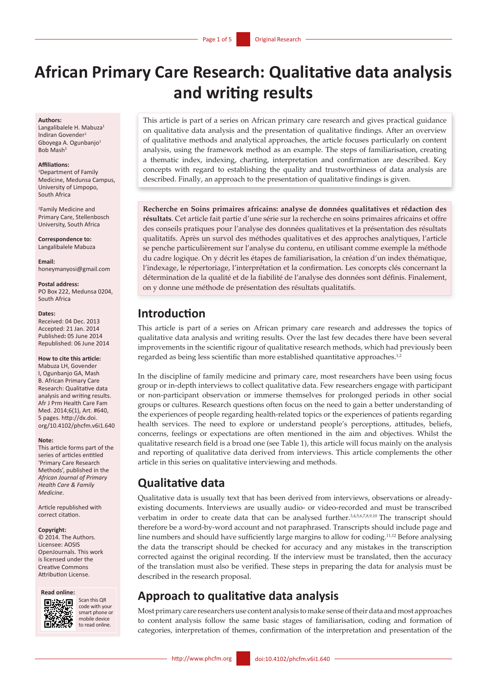# **African Primary Care Research: Qualitative data analysis and writing results**

#### **Authors:**

Langalibalele H. Mabuza<sup>1</sup> Indiran Govender<sup>1</sup> Gboyega A. Ogunbanjo<sup>1</sup> Bob Mash

#### **Affiliations:**

1 Department of Family Medicine, Medunsa Campus, University of Limpopo, South Africa

2 Family Medicine and Primary Care, Stellenbosch University, South Africa

**Correspondence to:** Langalibalele Mabuza

**Email:**  [honeymanyosi@gmail.com](mailto:honeymanyosi@gmail.com)

#### **Postal address:**

PO Box 222, Medunsa 0204, South Africa

#### **Dates:**

Received: 04 Dec. 2013 Accepted: 21 Jan. 2014 Published**:** 05 June 2014 Republished: 06 June 2014

#### **How to cite this article:**

Mabuza LH, Govender I, Ogunbanjo GA, Mash B. African Primary Care Research: Qualitative data analysis and writing results. Afr J Prm Health Care Fam Med. 2014;6(1), Art. #640, 5 pages. [http://dx.doi.](http://dx.doi.org/10.4102/phcfm.v6i1.640) [org/10.4102/phcfm.v6i1.640](http://dx.doi.org/10.4102/phcfm.v6i1.640)

#### **Note:**

This article forms part of the series of articles entitled 'Primary Care Research Methods', published in the *African Journal of Primary Health Care & Family Medicine*.

Article republished with correct citation.

#### **Copyright:**

© 2014. The Authors. Licensee: AOSIS OpenJournals. This work is licensed under the Creative Commons Attribution License.





Scan this OR code with your smart phone or mobile device to read online.

This article is part of a series on African primary care research and gives practical guidance on qualitative data analysis and the presentation of qualitative findings. After an overview of qualitative methods and analytical approaches, the article focuses particularly on content analysis, using the framework method as an example. The steps of familiarisation, creating a thematic index, indexing, charting, interpretation and confirmation are described. Key concepts with regard to establishing the quality and trustworthiness of data analysis are described. Finally, an approach to the presentation of qualitative findings is given.

**Recherche en Soins primaires africains: analyse de données qualitatives et rédaction des résultats**. Cet article fait partie d'une série sur la recherche en soins primaires africains et offre des conseils pratiques pour l'analyse des données qualitatives et la présentation des résultats qualitatifs. Après un survol des méthodes qualitatives et des approches analytiques, l'article se penche particulièrement sur l'analyse du contenu, en utilisant comme exemple la méthode du cadre logique. On y décrit les étapes de familiarisation, la création d'un index thématique, l'indexage, le répertoriage, l'interprétation et la confirmation. Les concepts clés concernant la détermination de la qualité et de la fiabilité de l'analyse des données sont définis. Finalement, on y donne une méthode de présentation des résultats qualitatifs.

## **Introduction**

This article is part of a series on African primary care research and addresses the topics of qualitative data analysis and writing results. Over the last few decades there have been several improvements in the scientific rigour of qualitative research methods, which had previously been regarded as being less scientific than more established quantitative approaches.<sup>1,2</sup>

In the discipline of family medicine and primary care, most researchers have been using focus group or in-depth interviews to collect qualitative data. Few researchers engage with participant or non-participant observation or immerse themselves for prolonged periods in other social groups or cultures. Research questions often focus on the need to gain a better understanding of the experiences of people regarding health-related topics or the experiences of patients regarding health services. The need to explore or understand people's perceptions, attitudes, beliefs, concerns, feelings or expectations are often mentioned in the aim and objectives. Whilst the qualitative research field is a broad one (see Table 1), this article will focus mainly on the analysis and reporting of qualitative data derived from interviews. This article complements the other article in this series on qualitative interviewing and methods.

## **Qualitative data**

Qualitative data is usually text that has been derived from interviews, observations or alreadyexisting documents. Interviews are usually audio- or video-recorded and must be transcribed verbatim in order to create data that can be analysed further.<sup>3,4,5,6,7,8,9,10</sup> The transcript should therefore be a word-by-word account and not paraphrased. Transcripts should include page and line numbers and should have sufficiently large margins to allow for coding.11,12 Before analysing the data the transcript should be checked for accuracy and any mistakes in the transcription corrected against the original recording. If the interview must be translated, then the accuracy of the translation must also be verified. These steps in preparing the data for analysis must be described in the research proposal.

## **Approach to qualitative data analysis**

Most primary care researchers use content analysis to make sense of their data and most approaches to content analysis follow the same basic stages of familiarisation, coding and formation of categories, interpretation of themes, confirmation of the interpretation and presentation of the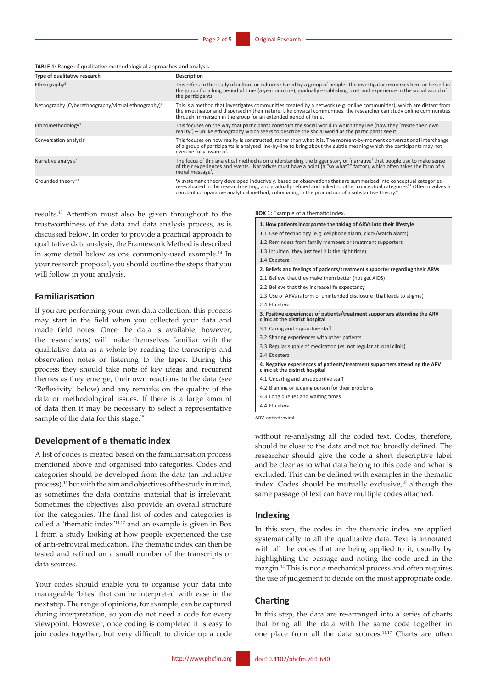**TABLE 1:** Range of qualitative methodological approaches and analysis.

| Type of qualitative research                                    | Description                                                                                                                                                                                                                                                                                                                                                               |
|-----------------------------------------------------------------|---------------------------------------------------------------------------------------------------------------------------------------------------------------------------------------------------------------------------------------------------------------------------------------------------------------------------------------------------------------------------|
| Ethnography <sup>3</sup>                                        | This refers to the study of culture or cultures shared by a group of people. The investigator immerses him- or herself in<br>the group for a long period of time (a year or more), gradually establishing trust and experience in the social world of<br>the participants.                                                                                                |
| Netnography (Cyberethnography/virtual ethnography) <sup>4</sup> | This is a method that investigates communities created by a network (e.g. online communities), which are distant from<br>the investigator and dispersed in their nature. Like physical communities, the researcher can study online communities<br>through immersion in the group for an extended period of time.                                                         |
| Ethnomethodology <sup>5</sup>                                   | This focuses on the way that participants construct the social world in which they live (how they 'create their own<br>reality') - unlike ethnography which seeks to describe the social world as the participants see it.                                                                                                                                                |
| Conversation analysis <sup>6</sup>                              | This focuses on how reality is constructed, rather than what it is. The moment-by-moment conversational interchange<br>of a group of participants is analysed line-by-line to bring about the subtle meaning which the participants may not<br>even be fully aware of.                                                                                                    |
| Narrative analysis <sup>7</sup>                                 | The focus of this analytical method is on understanding the bigger story or 'narrative' that people use to make sense<br>of their experiences and events. 'Narratives must have a point (a "so what?" factor), which often takes the form of a<br>moral message'.                                                                                                         |
| Grounded theory <sup>8,9</sup>                                  | 'A systematic theory developed inductively, based on observations that are summarized into conceptual categories,<br>re-evaluated in the research setting, and gradually refined and linked to other conceptual categories'. <sup>8</sup> Often involves a<br>constant comparative analytical method, culminating in the production of a substantive theory. <sup>9</sup> |

results.13 Attention must also be given throughout to the trustworthiness of the data and data analysis process, as is discussed below. In order to provide a practical approach to qualitative data analysis, the Framework Method is described in some detail below as one commonly-used example.14 In your research proposal, you should outline the steps that you will follow in your analysis.

#### **Familiarisation**

If you are performing your own data collection, this process may start in the field when you collected your data and made field notes. Once the data is available, however, the researcher(s) will make themselves familiar with the qualitative data as a whole by reading the transcripts and observation notes or listening to the tapes. During this process they should take note of key ideas and recurrent themes as they emerge, their own reactions to the data (see 'Reflexivity' below) and any remarks on the quality of the data or methodological issues. If there is a large amount of data then it may be necessary to select a representative sample of the data for this stage.<sup>15</sup>

### **Development of a thematic index**

A list of codes is created based on the familiarisation process mentioned above and organised into categories. Codes and categories should be developed from the data (an inductive process),<sup>16</sup> but with the aim and objectives of the study in mind, as sometimes the data contains material that is irrelevant. Sometimes the objectives also provide an overall structure for the categories. The final list of codes and categories is called a 'thematic index'14,17 and an example is given in Box 1 from a study looking at how people experienced the use of anti-retroviral medication. The thematic index can then be tested and refined on a small number of the transcripts or data sources.

Your codes should enable you to organise your data into manageable 'bites' that can be interpreted with ease in the next step. The range of opinions, for example, can be captured during interpretation, so you do not need a code for every viewpoint. However, once coding is completed it is easy to join codes together, but very difficult to divide up a code **BOX 1:** Example of a thematic index

| 1. How patients incorporate the taking of ARVs into their lifestyle                                           |
|---------------------------------------------------------------------------------------------------------------|
| 1.1 Use of technology (e.g. cellphone alarm, clock/watch alarm)                                               |
| 1.2 Reminders from family members or treatment supporters                                                     |
| 1.3 Intuition (they just feel it is the right time)                                                           |
| 1.4 Et cetera                                                                                                 |
| 2. Beliefs and feelings of patients/treatment supporter regarding their ARVs                                  |
| 2.1 Believe that they make them better (not get AIDS)                                                         |
| 2.2 Believe that they increase life expectancy                                                                |
| 2.3 Use of ARVs is form of unintended disclosure (that leads to stigma)                                       |
| 2.4 Et cetera                                                                                                 |
| 3. Positive experiences of patients/treatment supporters attending the ARV<br>clinic at the district hospital |
| 3.1 Caring and supportive staff                                                                               |
| 3.2 Sharing experiences with other patients                                                                   |
| 3.3 Regular supply of medication (vs. not regular at local clinic)                                            |
| 3.4 Et cetera                                                                                                 |
| 4. Negative experiences of patients/treatment supporters attending the ARV<br>clinic at the district hospital |
| 4.1 Uncaring and unsupportive staff                                                                           |
| 4.2 Blaming or judging person for their problems                                                              |
| 4.3 Long queues and waiting times                                                                             |
| 4.4 Et cetera                                                                                                 |
| ARV, antiretroviral.                                                                                          |

without re-analysing all the coded text. Codes, therefore, should be close to the data and not too broadly defined. The researcher should give the code a short descriptive label and be clear as to what data belong to this code and what is excluded. This can be defined with examples in the thematic index. Codes should be mutually exclusive, $18$  although the same passage of text can have multiple codes attached.

#### **Indexing**

In this step, the codes in the thematic index are applied systematically to all the qualitative data. Text is annotated with all the codes that are being applied to it, usually by highlighting the passage and noting the code used in the margin.14 This is not a mechanical process and often requires the use of judgement to decide on the most appropriate code.

### **Charting**

In this step, the data are re-arranged into a series of charts that bring all the data with the same code together in one place from all the data sources.14,17 Charts are often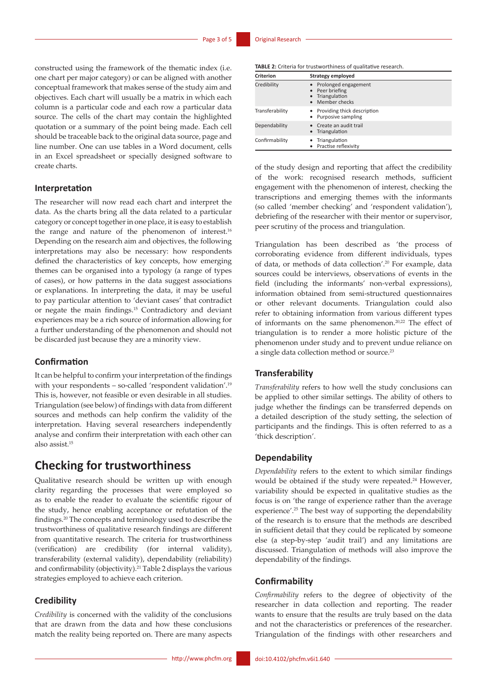constructed using the framework of the thematic index (i.e. one chart per major category) or can be aligned with another conceptual framework that makes sense of the study aim and objectives. Each chart will usually be a matrix in which each column is a particular code and each row a particular data source. The cells of the chart may contain the highlighted quotation or a summary of the point being made. Each cell should be traceable back to the original data source, page and line number. One can use tables in a Word document, cells in an Excel spreadsheet or specially designed software to create charts.

### **Interpretation**

The researcher will now read each chart and interpret the data. As the charts bring all the data related to a particular category or concept together in one place, it is easy to establish the range and nature of the phenomenon of interest.<sup>16</sup> Depending on the research aim and objectives, the following interpretations may also be necessary: how respondents defined the characteristics of key concepts, how emerging themes can be organised into a typology (a range of types of cases), or how patterns in the data suggest associations or explanations. In interpreting the data, it may be useful to pay particular attention to 'deviant cases' that contradict or negate the main findings.15 Contradictory and deviant experiences may be a rich source of information allowing for a further understanding of the phenomenon and should not be discarded just because they are a minority view.

### **Confirmation**

It can be helpful to confirm your interpretation of the findings with your respondents – so-called 'respondent validation'.<sup>19</sup> This is, however, not feasible or even desirable in all studies. Triangulation (see below) of findings with data from different sources and methods can help confirm the validity of the interpretation. Having several researchers independently analyse and confirm their interpretation with each other can also assist.15

## **Checking for trustworthiness**

Qualitative research should be written up with enough clarity regarding the processes that were employed so as to enable the reader to evaluate the scientific rigour of the study, hence enabling acceptance or refutation of the findings.20 The concepts and terminology used to describe the trustworthiness of qualitative research findings are different from quantitative research. The criteria for trustworthiness (verification) are credibility (for internal validity), transferability (external validity), dependability (reliability) and confirmability (objectivity).21 Table 2 displays the various strategies employed to achieve each criterion.

### **Credibility**

*Credibility* is concerned with the validity of the conclusions that are drawn from the data and how these conclusions match the reality being reported on. There are many aspects

**TABLE 2:** Criteria for trustworthiness of qualitative research.

| <b>Criterion</b> | Strategy employed                                                               |
|------------------|---------------------------------------------------------------------------------|
| Credibility      | • Prolonged engagement<br>• Peer briefing<br>• Triangulation<br>• Member checks |
| Transferability  | • Providing thick description<br>• Purposive sampling                           |
| Dependability    | • Create an audit trail<br>• Triangulation                                      |
| Confirmability   | Triangulation<br>• Practise reflexivity                                         |

of the study design and reporting that affect the credibility of the work: recognised research methods, sufficient engagement with the phenomenon of interest, checking the transcriptions and emerging themes with the informants (so called 'member checking' and 'respondent validation'), debriefing of the researcher with their mentor or supervisor, peer scrutiny of the process and triangulation.

Triangulation has been described as 'the process of corroborating evidence from different individuals, types of data, or methods of data collection'.20 For example, data sources could be interviews, observations of events in the field (including the informants' non-verbal expressions), information obtained from semi-structured questionnaires or other relevant documents. Triangulation could also refer to obtaining information from various different types of informants on the same phenomenon.20,22 The effect of triangulation is to render a more holistic picture of the phenomenon under study and to prevent undue reliance on a single data collection method or source.23

### **Transferability**

*Transferability* refers to how well the study conclusions can be applied to other similar settings. The ability of others to judge whether the findings can be transferred depends on a detailed description of the study setting, the selection of participants and the findings. This is often referred to as a 'thick description'.

#### **Dependability**

*Dependability* refers to the extent to which similar findings would be obtained if the study were repeated.<sup>24</sup> However, variability should be expected in qualitative studies as the focus is on 'the range of experience rather than the average experience'.25 The best way of supporting the dependability of the research is to ensure that the methods are described in sufficient detail that they could be replicated by someone else (a step-by-step 'audit trail') and any limitations are discussed. Triangulation of methods will also improve the dependability of the findings.

### **Confirmability**

*Confirmability* refers to the degree of objectivity of the researcher in data collection and reporting. The reader wants to ensure that the results are truly based on the data and not the characteristics or preferences of the researcher. Triangulation of the findings with other researchers and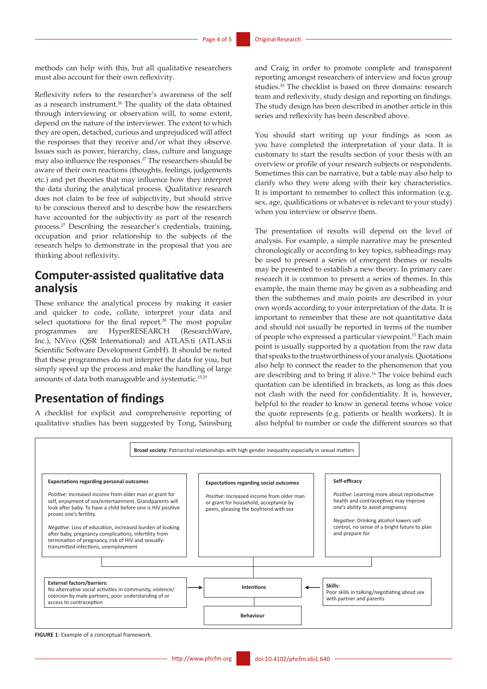methods can help with this, but all qualitative researchers must also account for their own reflexivity.

Reflexivity refers to the researcher's awareness of the self as a research instrument.<sup>26</sup> The quality of the data obtained through interviewing or observation will, to some extent, depend on the nature of the interviewer. The extent to which they are open, detached, curious and unprejudiced will affect the responses that they receive and/or what they observe. Issues such as power, hierarchy, class, culture and language may also influence the responses.27 The researchers should be aware of their own reactions (thoughts, feelings, judgements etc.) and pet theories that may influence how they interpret the data during the analytical process. Qualitative research does not claim to be free of subjectivity, but should strive to be conscious thereof and to describe how the researchers have accounted for the subjectivity as part of the research process.27 Describing the researcher's credentials, training, occupation and prior relationship to the subjects of the research helps to demonstrate in the proposal that you are thinking about reflexivity.

## **Computer-assisted qualitative data analysis**

These enhance the analytical process by making it easier and quicker to code, collate, interpret your data and select quotations for the final report.<sup>28</sup> The most popular programmes are HyperRESEARCH (ResearchWare, Inc.), NVivo (QSR International) and ATLAS.ti (ATLAS.ti Scientific Software Development GmbH). It should be noted that these programmes do not interpret the data for you, but simply speed up the process and make the handling of large amounts of data both manageable and systematic.15,29

## **Presentation of findings**

A checklist for explicit and comprehensive reporting of qualitative studies has been suggested by Tong, Sainsburg

and Craig in order to promote complete and transparent reporting amongst researchers of interview and focus group studies.30 The checklist is based on three domains: research team and reflexivity, study design and reporting on findings. The study design has been described in another article in this series and reflexivity has been described above.

You should start writing up your findings as soon as you have completed the interpretation of your data. It is customary to start the results section of your thesis with an overview or profile of your research subjects or respondents. Sometimes this can be narrative, but a table may also help to clarify who they were along with their key characteristics. It is important to remember to collect this information (e.g. sex, age, qualifications or whatever is relevant to your study) when you interview or observe them.

The presentation of results will depend on the level of analysis. For example, a simple narrative may be presented chronologically or according to key topics, subheadings may be used to present a series of emergent themes or results may be presented to establish a new theory. In primary care research it is common to present a series of themes. In this example, the main theme may be given as a subheading and then the subthemes and main points are described in your own words according to your interpretation of the data. It is important to remember that these are not quantitative data and should not usually be reported in terms of the number of people who expressed a particular viewpoint.15 Each main point is usually supported by a quotation from the raw data that speaks to the trustworthiness of your analysis. Quotations also help to connect the reader to the phenomenon that you are describing and to bring it alive.<sup>16</sup> The voice behind each quotation can be identified in brackets, as long as this does not clash with the need for confidentiality. It is, however, helpful to the reader to know in general terms whose voice the quote represents (e.g. patients or health workers). It is also helpful to number or code the different sources so that



**FIGURE 1**: Example of a conceptual framework. **FIGURE 1**: Example of a conceptual framework.

**FIGURE 1**: Example of a conceptual framework.